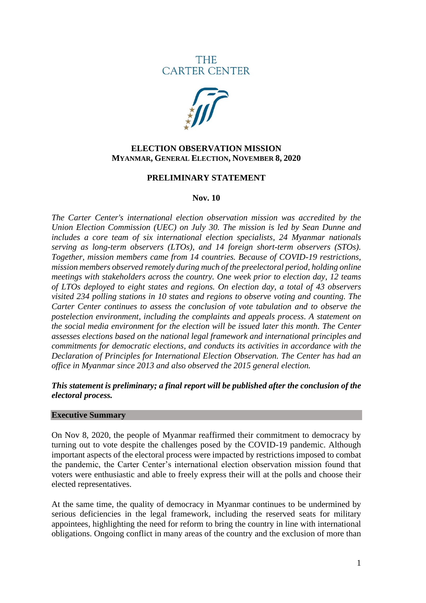**THE CARTER CENTER** 



### **ELECTION OBSERVATION MISSION MYANMAR, GENERAL ELECTION, NOVEMBER 8, 2020**

#### **PRELIMINARY STATEMENT**

#### **Nov. 10**

*The Carter Center's international election observation mission was accredited by the Union Election Commission (UEC) on July 30. The mission is led by Sean Dunne and includes a core team of six international election specialists, 24 Myanmar nationals serving as long-term observers (LTOs), and 14 foreign short-term observers (STOs). Together, mission members came from 14 countries. Because of COVID-19 restrictions, mission members observed remotely during much of the preelectoral period, holding online meetings with stakeholders across the country. One week prior to election day, 12 teams of LTOs deployed to eight states and regions. On election day, a total of 43 observers visited 234 polling stations in 10 states and regions to observe voting and counting. The Carter Center continues to assess the conclusion of vote tabulation and to observe the postelection environment, including the complaints and appeals process. A statement on the social media environment for the election will be issued later this month. The Center assesses elections based on the national legal framework and international principles and commitments for democratic elections, and conducts its activities in accordance with the Declaration of Principles for International Election Observation. The Center has had an office in Myanmar since 2013 and also observed the 2015 general election.*

### *This statement is preliminary; a final report will be published after the conclusion of the electoral process.*

#### **Executive Summary**

On Nov 8, 2020, the people of Myanmar reaffirmed their commitment to democracy by turning out to vote despite the challenges posed by the COVID-19 pandemic. Although important aspects of the electoral process were impacted by restrictions imposed to combat the pandemic, the Carter Center's international election observation mission found that voters were enthusiastic and able to freely express their will at the polls and choose their elected representatives.

At the same time, the quality of democracy in Myanmar continues to be undermined by serious deficiencies in the legal framework, including the reserved seats for military appointees, highlighting the need for reform to bring the country in line with international obligations. Ongoing conflict in many areas of the country and the exclusion of more than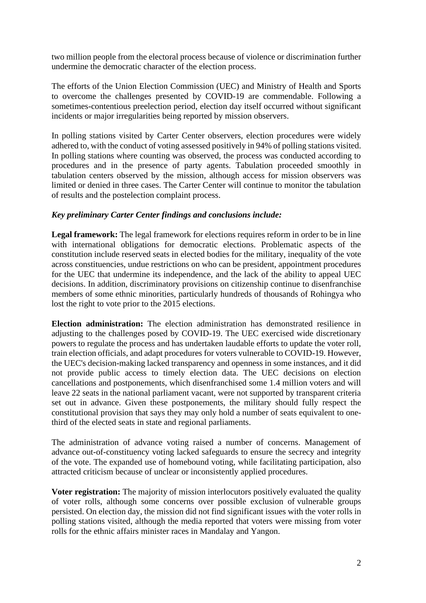two million people from the electoral process because of violence or discrimination further undermine the democratic character of the election process.

The efforts of the Union Election Commission (UEC) and Ministry of Health and Sports to overcome the challenges presented by COVID-19 are commendable. Following a sometimes-contentious preelection period, election day itself occurred without significant incidents or major irregularities being reported by mission observers.

In polling stations visited by Carter Center observers, election procedures were widely adhered to, with the conduct of voting assessed positively in 94% of polling stations visited. In polling stations where counting was observed, the process was conducted according to procedures and in the presence of party agents. Tabulation proceeded smoothly in tabulation centers observed by the mission, although access for mission observers was limited or denied in three cases. The Carter Center will continue to monitor the tabulation of results and the postelection complaint process.

## *Key preliminary Carter Center findings and conclusions include:*

**Legal framework:** The legal framework for elections requires reform in order to be in line with international obligations for democratic elections. Problematic aspects of the constitution include reserved seats in elected bodies for the military, inequality of the vote across constituencies, undue restrictions on who can be president, appointment procedures for the UEC that undermine its independence, and the lack of the ability to appeal UEC decisions. In addition, discriminatory provisions on citizenship continue to disenfranchise members of some ethnic minorities, particularly hundreds of thousands of Rohingya who lost the right to vote prior to the 2015 elections.

**Election administration:** The election administration has demonstrated resilience in adjusting to the challenges posed by COVID-19. The UEC exercised wide discretionary powers to regulate the process and has undertaken laudable efforts to update the voter roll, train election officials, and adapt procedures for voters vulnerable to COVID-19. However, the UEC's decision-making lacked transparency and openness in some instances, and it did not provide public access to timely election data. The UEC decisions on election cancellations and postponements, which disenfranchised some 1.4 million voters and will leave 22 seats in the national parliament vacant, were not supported by transparent criteria set out in advance. Given these postponements, the military should fully respect the constitutional provision that says they may only hold a number of seats equivalent to onethird of the elected seats in state and regional parliaments.

The administration of advance voting raised a number of concerns. Management of advance out-of-constituency voting lacked safeguards to ensure the secrecy and integrity of the vote. The expanded use of homebound voting, while facilitating participation, also attracted criticism because of unclear or inconsistently applied procedures.

**Voter registration:** The majority of mission interlocutors positively evaluated the quality of voter rolls, although some concerns over possible exclusion of vulnerable groups persisted. On election day, the mission did not find significant issues with the voter rolls in polling stations visited, although the media reported that voters were missing from voter rolls for the ethnic affairs minister races in Mandalay and Yangon.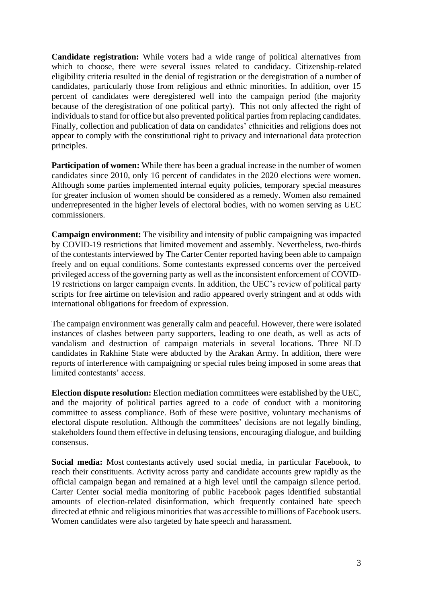**Candidate registration:** While voters had a wide range of political alternatives from which to choose, there were several issues related to candidacy. Citizenship-related eligibility criteria resulted in the denial of registration or the deregistration of a number of candidates, particularly those from religious and ethnic minorities. In addition, over 15 percent of candidates were deregistered well into the campaign period (the majority because of the deregistration of one political party). This not only affected the right of individuals to stand for office but also prevented political parties from replacing candidates. Finally, collection and publication of data on candidates' ethnicities and religions does not appear to comply with the constitutional right to privacy and international data protection principles.

**Participation of women:** While there has been a gradual increase in the number of women candidates since 2010, only 16 percent of candidates in the 2020 elections were women. Although some parties implemented internal equity policies, temporary special measures for greater inclusion of women should be considered as a remedy. Women also remained underrepresented in the higher levels of electoral bodies, with no women serving as UEC commissioners.

**Campaign environment:** The visibility and intensity of public campaigning was impacted by COVID-19 restrictions that limited movement and assembly. Nevertheless, two-thirds of the contestants interviewed by The Carter Center reported having been able to campaign freely and on equal conditions. Some contestants expressed concerns over the perceived privileged access of the governing party as well as the inconsistent enforcement of COVID-19 restrictions on larger campaign events. In addition, the UEC's review of political party scripts for free airtime on television and radio appeared overly stringent and at odds with international obligations for freedom of expression.

The campaign environment was generally calm and peaceful. However, there were isolated instances of clashes between party supporters, leading to one death, as well as acts of vandalism and destruction of campaign materials in several locations. Three NLD candidates in Rakhine State were abducted by the Arakan Army. In addition, there were reports of interference with campaigning or special rules being imposed in some areas that limited contestants' access.

**Election dispute resolution:** Election mediation committees were established by the UEC, and the majority of political parties agreed to a code of conduct with a monitoring committee to assess compliance. Both of these were positive, voluntary mechanisms of electoral dispute resolution. Although the committees' decisions are not legally binding, stakeholders found them effective in defusing tensions, encouraging dialogue, and building consensus.

**Social media:** Most contestants actively used social media, in particular Facebook, to reach their constituents. Activity across party and candidate accounts grew rapidly as the official campaign began and remained at a high level until the campaign silence period. Carter Center social media monitoring of public Facebook pages identified substantial amounts of election-related disinformation, which frequently contained hate speech directed at ethnic and religious minorities that was accessible to millions of Facebook users. Women candidates were also targeted by hate speech and harassment.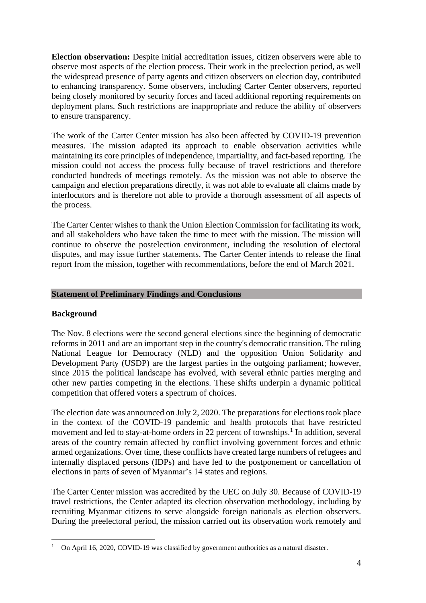**Election observation:** Despite initial accreditation issues, citizen observers were able to observe most aspects of the election process. Their work in the preelection period, as well the widespread presence of party agents and citizen observers on election day, contributed to enhancing transparency. Some observers, including Carter Center observers, reported being closely monitored by security forces and faced additional reporting requirements on deployment plans. Such restrictions are inappropriate and reduce the ability of observers to ensure transparency.

The work of the Carter Center mission has also been affected by COVID-19 prevention measures. The mission adapted its approach to enable observation activities while maintaining its core principles of independence, impartiality, and fact-based reporting. The mission could not access the process fully because of travel restrictions and therefore conducted hundreds of meetings remotely. As the mission was not able to observe the campaign and election preparations directly, it was not able to evaluate all claims made by interlocutors and is therefore not able to provide a thorough assessment of all aspects of the process.

The Carter Center wishes to thank the Union Election Commission for facilitating its work, and all stakeholders who have taken the time to meet with the mission. The mission will continue to observe the postelection environment, including the resolution of electoral disputes, and may issue further statements. The Carter Center intends to release the final report from the mission, together with recommendations, before the end of March 2021.

### **Statement of Preliminary Findings and Conclusions**

### **Background**

The Nov. 8 elections were the second general elections since the beginning of democratic reforms in 2011 and are an important step in the country's democratic transition. The ruling National League for Democracy (NLD) and the opposition Union Solidarity and Development Party (USDP) are the largest parties in the outgoing parliament; however, since 2015 the political landscape has evolved, with several ethnic parties merging and other new parties competing in the elections. These shifts underpin a dynamic political competition that offered voters a spectrum of choices.

The election date was announced on July 2, 2020. The preparations for elections took place in the context of the COVID-19 pandemic and health protocols that have restricted movement and led to stay-at-home orders in 22 percent of townships.<sup>1</sup> In addition, several areas of the country remain affected by conflict involving government forces and ethnic armed organizations. Over time, these conflicts have created large numbers of refugees and internally displaced persons (IDPs) and have led to the postponement or cancellation of elections in parts of seven of Myanmar's 14 states and regions.

The Carter Center mission was accredited by the UEC on July 30. Because of COVID-19 travel restrictions, the Center adapted its election observation methodology, including by recruiting Myanmar citizens to serve alongside foreign nationals as election observers. During the preelectoral period, the mission carried out its observation work remotely and

<sup>&</sup>lt;sup>1</sup> On April 16, 2020, COVID-19 was classified by government authorities as a natural disaster.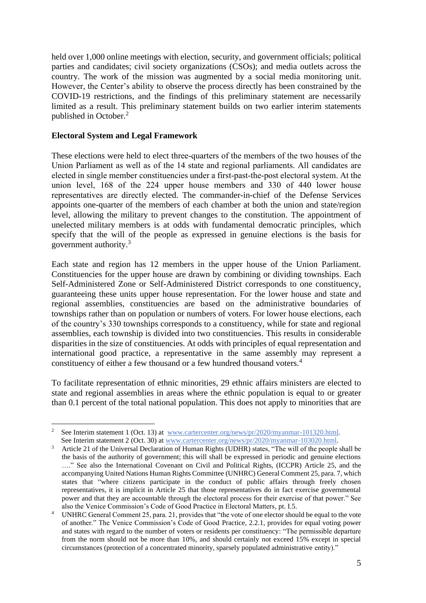held over 1,000 online meetings with election, security, and government officials; political parties and candidates; civil society organizations (CSOs); and media outlets across the country. The work of the mission was augmented by a social media monitoring unit. However, the Center's ability to observe the process directly has been constrained by the COVID-19 restrictions, and the findings of this preliminary statement are necessarily limited as a result. This preliminary statement builds on two earlier interim statements published in October. 2

### **Electoral System and Legal Framework**

These elections were held to elect three-quarters of the members of the two houses of the Union Parliament as well as of the 14 state and regional parliaments. All candidates are elected in single member constituencies under a first-past-the-post electoral system. At the union level, 168 of the 224 upper house members and 330 of 440 lower house representatives are directly elected. The commander-in-chief of the Defense Services appoints one-quarter of the members of each chamber at both the union and state/region level, allowing the military to prevent changes to the constitution. The appointment of unelected military members is at odds with fundamental democratic principles, which specify that the will of the people as expressed in genuine elections is the basis for government authority. 3

Each state and region has 12 members in the upper house of the Union Parliament. Constituencies for the upper house are drawn by combining or dividing townships. Each Self-Administered Zone or Self-Administered District corresponds to one constituency, guaranteeing these units upper house representation. For the lower house and state and regional assemblies, constituencies are based on the administrative boundaries of townships rather than on population or numbers of voters. For lower house elections, each of the country's 330 townships corresponds to a constituency, while for state and regional assemblies, each township is divided into two constituencies. This results in considerable disparities in the size of constituencies. At odds with principles of equal representation and international good practice, a representative in the same assembly may represent a constituency of either a few thousand or a few hundred thousand voters.<sup>4</sup>

To facilitate representation of ethnic minorities, 29 ethnic affairs ministers are elected to state and regional assemblies in areas where the ethnic population is equal to or greater than 0.1 percent of the total national population. This does not apply to minorities that are

<sup>&</sup>lt;sup>2</sup> See Interim statement 1 (Oct. 13) at [www.cartercenter.org/news/pr/2020/myanmar-101320.html.](http://www.cartercenter.org/news/pr/2020/myanmar-101320.html) See Interim statement 2 (Oct. 30) at [www.cartercenter.org/news/pr/2020/myanmar-103020.html.](http://www.cartercenter.org/news/pr/2020/myanmar-103020.html)

<sup>&</sup>lt;sup>3</sup> Article 21 of the Universal Declaration of Human Rights (UDHR) states, "The will of the people shall be the basis of the authority of government; this will shall be expressed in periodic and genuine elections …." See also the International Covenant on Civil and Political Rights, (ICCPR) Article 25, and the accompanying United Nations Human Rights Committee (UNHRC) General Comment 25, para. 7, which states that "where citizens participate in the conduct of public affairs through freely chosen representatives, it is implicit in Article 25 that those representatives do in fact exercise governmental power and that they are accountable through the electoral process for their exercise of that power." See also the Venice Commission's Code of Good Practice in Electoral Matters, pt. I.5.

UNHRC General Comment 25, para. 21, provides that "the vote of one elector should be equal to the vote of another." The Venice Commission's Code of Good Practice, 2.2.1, provides for equal voting power and states with regard to the number of voters or residents per constituency: "The permissible departure from the norm should not be more than 10%, and should certainly not exceed 15% except in special circumstances (protection of a concentrated minority, sparsely populated administrative entity)."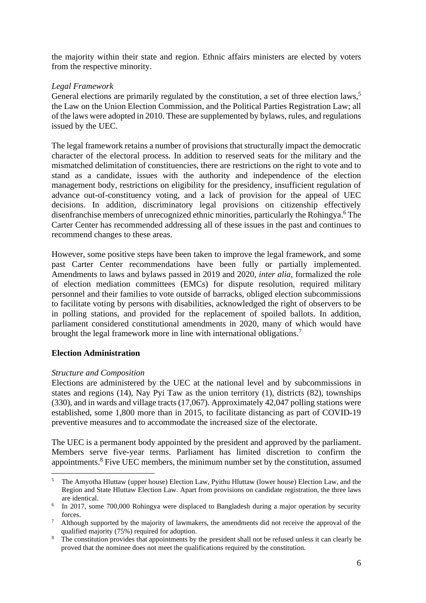the majority within their state and region. Ethnic affairs ministers are elected by voters from the respective minority.

### *Legal Framework*

General elections are primarily regulated by the constitution, a set of three election laws,<sup>5</sup> the Law on the Union Election Commission, and the Political Parties Registration Law; all of the laws were adopted in 2010. These are supplemented by bylaws, rules, and regulations issued by the UEC.

The legal framework retains a number of provisions that structurally impact the democratic character of the electoral process. In addition to reserved seats for the military and the mismatched delimitation of constituencies, there are restrictions on the right to vote and to stand as a candidate, issues with the authority and independence of the election management body, restrictions on eligibility for the presidency, insufficient regulation of advance out-of-constituency voting, and a lack of provision for the appeal of UEC decisions. In addition, discriminatory legal provisions on citizenship effectively disenfranchise members of unrecognized ethnic minorities, particularly the Rohingya. <sup>6</sup> The Carter Center has recommended addressing all of these issues in the past and continues to recommend changes to these areas.

However, some positive steps have been taken to improve the legal framework, and some past Carter Center recommendations have been fully or partially implemented. Amendments to laws and bylaws passed in 2019 and 2020, *inter alia*, formalized the role of election mediation committees (EMCs) for dispute resolution, required military personnel and their families to vote outside of barracks, obliged election subcommissions to facilitate voting by persons with disabilities, acknowledged the right of observers to be in polling stations, and provided for the replacement of spoiled ballots. In addition, parliament considered constitutional amendments in 2020, many of which would have brought the legal framework more in line with international obligations.<sup>7</sup>

## **Election Administration**

### *Structure and Composition*

Elections are administered by the UEC at the national level and by subcommissions in states and regions (14), Nay Pyi Taw as the union territory (1), districts (82), townships (330), and in wards and village tracts (17,067). Approximately 42,047 polling stations were established, some 1,800 more than in 2015, to facilitate distancing as part of COVID-19 preventive measures and to accommodate the increased size of the electorate.

The UEC is a permanent body appointed by the president and approved by the parliament. Members serve five-year terms. Parliament has limited discretion to confirm the appointments. <sup>8</sup> Five UEC members, the minimum number set by the constitution, assumed

<sup>5</sup> The Amyotha Hluttaw (upper house) Election Law, Pyithu Hluttaw (lower house) Election Law, and the Region and State Hluttaw Election Law. Apart from provisions on candidate registration, the three laws are identical.

<sup>&</sup>lt;sup>6</sup> In 2017, some 700,000 Rohingya were displaced to Bangladesh during a major operation by security forces.

 $\frac{7}{10}$  Although supported by the majority of lawmakers, the amendments did not receive the approval of the qualified majority (75%) required for adoption.

<sup>&</sup>lt;sup>8</sup> The constitution provides that appointments by the president shall not be refused unless it can clearly be proved that the nominee does not meet the qualifications required by the constitution.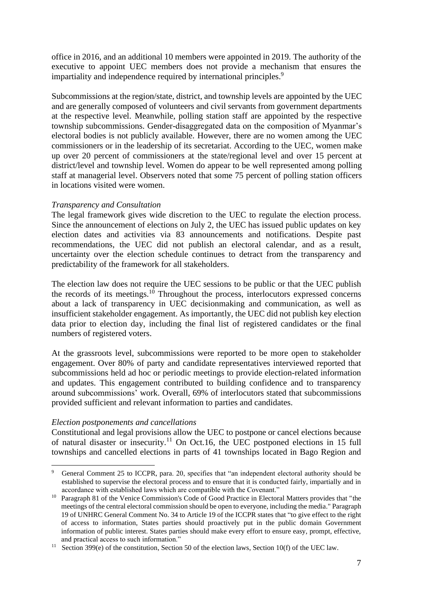office in 2016, and an additional 10 members were appointed in 2019. The authority of the executive to appoint UEC members does not provide a mechanism that ensures the impartiality and independence required by international principles. 9

Subcommissions at the region/state, district, and township levels are appointed by the UEC and are generally composed of volunteers and civil servants from government departments at the respective level. Meanwhile, polling station staff are appointed by the respective township subcommissions. Gender-disaggregated data on the composition of Myanmar's electoral bodies is not publicly available. However, there are no women among the UEC commissioners or in the leadership of its secretariat. According to the UEC, women make up over 20 percent of commissioners at the state/regional level and over 15 percent at district/level and township level. Women do appear to be well represented among polling staff at managerial level. Observers noted that some 75 percent of polling station officers in locations visited were women.

#### *Transparency and Consultation*

The legal framework gives wide discretion to the UEC to regulate the election process. Since the announcement of elections on July 2, the UEC has issued public updates on key election dates and activities via 83 announcements and notifications. Despite past recommendations, the UEC did not publish an electoral calendar, and as a result, uncertainty over the election schedule continues to detract from the transparency and predictability of the framework for all stakeholders.

The election law does not require the UEC sessions to be public or that the UEC publish the records of its meetings.<sup>10</sup> Throughout the process, interlocutors expressed concerns about a lack of transparency in UEC decisionmaking and communication, as well as insufficient stakeholder engagement. As importantly, the UEC did not publish key election data prior to election day, including the final list of registered candidates or the final numbers of registered voters.

At the grassroots level, subcommissions were reported to be more open to stakeholder engagement. Over 80% of party and candidate representatives interviewed reported that subcommissions held ad hoc or periodic meetings to provide election-related information and updates. This engagement contributed to building confidence and to transparency around subcommissions' work. Overall, 69% of interlocutors stated that subcommissions provided sufficient and relevant information to parties and candidates.

#### *Election postponements and cancellations*

Constitutional and legal provisions allow the UEC to postpone or cancel elections because of natural disaster or insecurity.<sup>11</sup> On Oct.16, the UEC postponed elections in 15 full townships and cancelled elections in parts of 41 townships located in Bago Region and

General Comment 25 to ICCPR, para. 20, specifies that "an independent electoral authority should be established to supervise the electoral process and to ensure that it is conducted fairly, impartially and in accordance with established laws which are compatible with the Covenant."

<sup>&</sup>lt;sup>10</sup> Paragraph 81 of the Venice Commission's Code of Good Practice in Electoral Matters provides that "the meetings of the central electoral commission should be open to everyone, including the media." Paragraph 19 of UNHRC General Comment No. 34 to Article 19 of the ICCPR states that "to give effect to the right of access to information, States parties should proactively put in the public domain Government information of public interest. States parties should make every effort to ensure easy, prompt, effective, and practical access to such information."

<sup>&</sup>lt;sup>11</sup> Section 399(e) of the constitution, Section 50 of the election laws, Section 10(f) of the UEC law.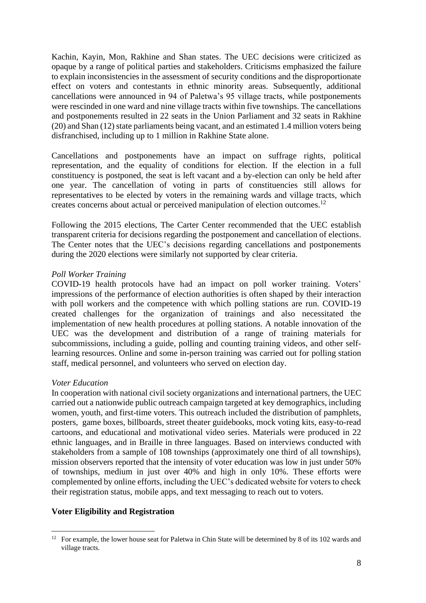Kachin, Kayin, Mon, Rakhine and Shan states. The UEC decisions were criticized as opaque by a range of political parties and stakeholders. Criticisms emphasized the failure to explain inconsistencies in the assessment of security conditions and the disproportionate effect on voters and contestants in ethnic minority areas. Subsequently, additional cancellations were announced in 94 of Paletwa's 95 village tracts, while postponements were rescinded in one ward and nine village tracts within five townships. The cancellations and postponements resulted in 22 seats in the Union Parliament and 32 seats in Rakhine (20) and Shan (12) state parliaments being vacant, and an estimated 1.4 million voters being disfranchised, including up to 1 million in Rakhine State alone.

Cancellations and postponements have an impact on suffrage rights, political representation, and the equality of conditions for election. If the election in a full constituency is postponed, the seat is left vacant and a by-election can only be held after one year. The cancellation of voting in parts of constituencies still allows for representatives to be elected by voters in the remaining wards and village tracts, which creates concerns about actual or perceived manipulation of election outcomes.<sup>12</sup>

Following the 2015 elections, The Carter Center recommended that the UEC establish transparent criteria for decisions regarding the postponement and cancellation of elections. The Center notes that the UEC's decisions regarding cancellations and postponements during the 2020 elections were similarly not supported by clear criteria.

### *Poll Worker Training*

COVID-19 health protocols have had an impact on poll worker training. Voters' impressions of the performance of election authorities is often shaped by their interaction with poll workers and the competence with which polling stations are run. COVID-19 created challenges for the organization of trainings and also necessitated the implementation of new health procedures at polling stations. A notable innovation of the UEC was the development and distribution of a range of training materials for subcommissions, including a guide, polling and counting training videos, and other selflearning resources. Online and some in-person training was carried out for polling station staff, medical personnel, and volunteers who served on election day.

### *Voter Education*

In cooperation with national civil society organizations and international partners, the UEC carried out a nationwide public outreach campaign targeted at key demographics, including women, youth, and first-time voters. This outreach included the distribution of pamphlets, posters, game boxes, billboards, street theater guidebooks, mock voting kits, easy-to-read cartoons, and educational and motivational video series. Materials were produced in 22 ethnic languages, and in Braille in three languages. Based on interviews conducted with stakeholders from a sample of 108 townships (approximately one third of all townships), mission observers reported that the intensity of voter education was low in just under 50% of townships, medium in just over 40% and high in only 10%. These efforts were complemented by online efforts, including the UEC's dedicated website for voters to check their registration status, mobile apps, and text messaging to reach out to voters.

### **Voter Eligibility and Registration**

<sup>&</sup>lt;sup>12</sup> For example, the lower house seat for Paletwa in Chin State will be determined by 8 of its 102 wards and village tracts.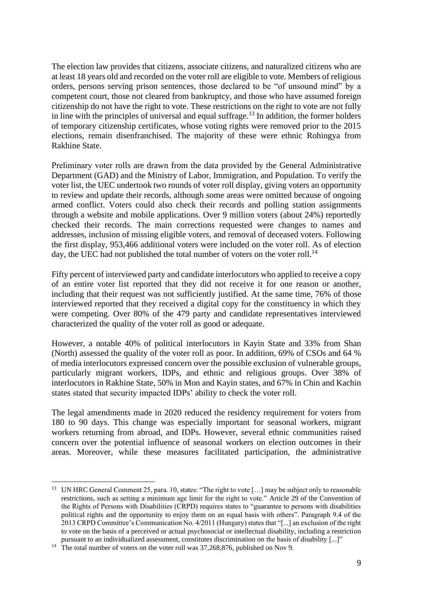The election law provides that citizens, associate citizens, and naturalized citizens who are at least 18 years old and recorded on the voter roll are eligible to vote. Members of religious orders, persons serving prison sentences, those declared to be "of unsound mind" by a competent court, those not cleared from bankruptcy, and those who have assumed foreign citizenship do not have the right to vote. These restrictions on the right to vote are not fully in line with the principles of universal and equal suffrage.<sup>13</sup> In addition, the former holders of temporary citizenship certificates, whose voting rights were removed prior to the 2015 elections, remain disenfranchised. The majority of these were ethnic Rohingya from Rakhine State.

Preliminary voter rolls are drawn from the data provided by the General Administrative Department (GAD) and the Ministry of Labor, Immigration, and Population. To verify the voter list, the UEC undertook two rounds of voter roll display, giving voters an opportunity to review and update their records, although some areas were omitted because of ongoing armed conflict. Voters could also check their records and polling station assignments through a website and mobile applications. Over 9 million voters (about 24%) reportedly checked their records. The main corrections requested were changes to names and addresses, inclusion of missing eligible voters, and removal of deceased voters. Following the first display, 953,466 additional voters were included on the voter roll. As of election day, the UEC had not published the total number of voters on the voter roll.<sup>14</sup>

Fifty percent of interviewed party and candidate interlocutors who applied to receive a copy of an entire voter list reported that they did not receive it for one reason or another, including that their request was not sufficiently justified. At the same time, 76% of those interviewed reported that they received a digital copy for the constituency in which they were competing. Over 80% of the 479 party and candidate representatives interviewed characterized the quality of the voter roll as good or adequate.

However, a notable 40% of political interlocutors in Kayin State and 33% from Shan (North) assessed the quality of the voter roll as poor. In addition, 69% of CSOs and 64 % of media interlocutors expressed concern over the possible exclusion of vulnerable groups, particularly migrant workers, IDPs, and ethnic and religious groups. Over 38% of interlocutors in Rakhine State, 50% in Mon and Kayin states, and 67% in Chin and Kachin states stated that security impacted IDPs' ability to check the voter roll.

The legal amendments made in 2020 reduced the residency requirement for voters from 180 to 90 days. This change was especially important for seasonal workers, migrant workers returning from abroad, and IDPs. However, several ethnic communities raised concern over the potential influence of seasonal workers on election outcomes in their areas. Moreover, while these measures facilitated participation, the administrative

<sup>&</sup>lt;sup>13</sup> UN HRC General Comment 25, para. 10, states: "The right to vote [...] may be subject only to reasonable restrictions, such as setting a minimum age limit for the right to vote." Article 29 of the Convention of the Rights of Persons with Disabilities (CRPD) requires states to "guarantee to persons with disabilities political rights and the opportunity to enjoy them on an equal basis with others". Paragraph 9.4 of the 2013 CRPD Committee's Communication No. 4/2011 (Hungary) states that "[...] an exclusion of the right to vote on the basis of a perceived or actual psychosocial or intellectual disability, including a restriction pursuant to an individualized assessment, constitutes discrimination on the basis of disability [...]"

<sup>&</sup>lt;sup>14</sup> The total number of voters on the voter roll was 37,268,876, published on Nov 9.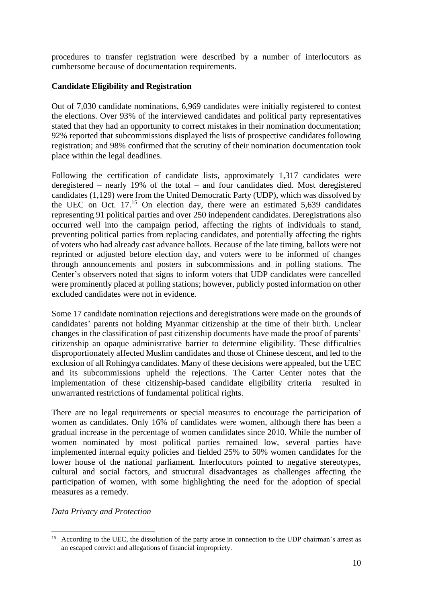procedures to transfer registration were described by a number of interlocutors as cumbersome because of documentation requirements.

# **Candidate Eligibility and Registration**

Out of 7,030 candidate nominations, 6,969 candidates were initially registered to contest the elections. Over 93% of the interviewed candidates and political party representatives stated that they had an opportunity to correct mistakes in their nomination documentation; 92% reported that subcommissions displayed the lists of prospective candidates following registration; and 98% confirmed that the scrutiny of their nomination documentation took place within the legal deadlines.

Following the certification of candidate lists, approximately 1,317 candidates were deregistered – nearly 19% of the total – and four candidates died. Most deregistered candidates (1,129) were from the United Democratic Party (UDP), which was dissolved by the UEC on Oct. 17. <sup>15</sup> On election day, there were an estimated 5,639 candidates representing 91 political parties and over 250 independent candidates. Deregistrations also occurred well into the campaign period, affecting the rights of individuals to stand, preventing political parties from replacing candidates, and potentially affecting the rights of voters who had already cast advance ballots. Because of the late timing, ballots were not reprinted or adjusted before election day, and voters were to be informed of changes through announcements and posters in subcommissions and in polling stations. The Center's observers noted that signs to inform voters that UDP candidates were cancelled were prominently placed at polling stations; however, publicly posted information on other excluded candidates were not in evidence.

Some 17 candidate nomination rejections and deregistrations were made on the grounds of candidates' parents not holding Myanmar citizenship at the time of their birth. Unclear changes in the classification of past citizenship documents have made the proof of parents' citizenship an opaque administrative barrier to determine eligibility. These difficulties disproportionately affected Muslim candidates and those of Chinese descent, and led to the exclusion of all Rohingya candidates. Many of these decisions were appealed, but the UEC and its subcommissions upheld the rejections. The Carter Center notes that the implementation of these citizenship-based candidate eligibility criteria resulted in unwarranted restrictions of fundamental political rights.

There are no legal requirements or special measures to encourage the participation of women as candidates. Only 16% of candidates were women, although there has been a gradual increase in the percentage of women candidates since 2010. While the number of women nominated by most political parties remained low, several parties have implemented internal equity policies and fielded 25% to 50% women candidates for the lower house of the national parliament. Interlocutors pointed to negative stereotypes, cultural and social factors, and structural disadvantages as challenges affecting the participation of women, with some highlighting the need for the adoption of special measures as a remedy.

## *Data Privacy and Protection*

<sup>&</sup>lt;sup>15</sup> According to the UEC, the dissolution of the party arose in connection to the UDP chairman's arrest as an escaped convict and allegations of financial impropriety.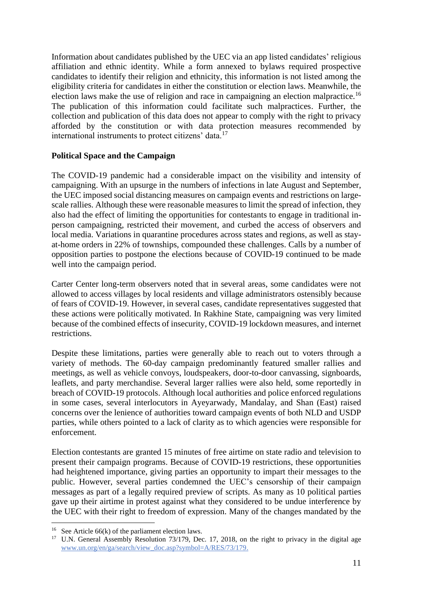Information about candidates published by the UEC via an app listed candidates' religious affiliation and ethnic identity. While a form annexed to bylaws required prospective candidates to identify their religion and ethnicity, this information is not listed among the eligibility criteria for candidates in either the constitution or election laws. Meanwhile, the election laws make the use of religion and race in campaigning an election malpractice.<sup>16</sup> The publication of this information could facilitate such malpractices. Further, the collection and publication of this data does not appear to comply with the right to privacy afforded by the constitution or with data protection measures recommended by international instruments to protect citizens' data.<sup>17</sup>

## **Political Space and the Campaign**

The COVID-19 pandemic had a considerable impact on the visibility and intensity of campaigning. With an upsurge in the numbers of infections in late August and September, the UEC imposed social distancing measures on campaign events and restrictions on largescale rallies. Although these were reasonable measures to limit the spread of infection, they also had the effect of limiting the opportunities for contestants to engage in traditional inperson campaigning, restricted their movement, and curbed the access of observers and local media. Variations in quarantine procedures across states and regions, as well as stayat-home orders in 22% of townships, compounded these challenges. Calls by a number of opposition parties to postpone the elections because of COVID-19 continued to be made well into the campaign period.

Carter Center long-term observers noted that in several areas, some candidates were not allowed to access villages by local residents and village administrators ostensibly because of fears of COVID-19. However, in several cases, candidate representatives suggested that these actions were politically motivated. In Rakhine State, campaigning was very limited because of the combined effects of insecurity, COVID-19 lockdown measures, and internet restrictions.

Despite these limitations, parties were generally able to reach out to voters through a variety of methods. The 60-day campaign predominantly featured smaller rallies and meetings, as well as vehicle convoys, loudspeakers, door-to-door canvassing, signboards, leaflets, and party merchandise. Several larger rallies were also held, some reportedly in breach of COVID-19 protocols. Although local authorities and police enforced regulations in some cases, several interlocutors in Ayeyarwady, Mandalay, and Shan (East) raised concerns over the lenience of authorities toward campaign events of both NLD and USDP parties, while others pointed to a lack of clarity as to which agencies were responsible for enforcement.

Election contestants are granted 15 minutes of free airtime on state radio and television to present their campaign programs. Because of COVID-19 restrictions, these opportunities had heightened importance, giving parties an opportunity to impart their messages to the public. However, several parties condemned the UEC's censorship of their campaign messages as part of a legally required preview of scripts. As many as 10 political parties gave up their airtime in protest against what they considered to be undue interference by the UEC with their right to freedom of expression. Many of the changes mandated by the

<sup>&</sup>lt;sup>16</sup> See Article  $66(k)$  of the parliament election laws.

<sup>&</sup>lt;sup>17</sup> U.N. General Assembly Resolution 73/179, Dec. 17, 2018, on the right to privacy in the digital age [www.un.org/en/ga/search/view\\_doc.asp?symbol=A/RES/73/179.](http://www.un.org/en/ga/search/view_doc.asp?symbol=A/RES/73/179)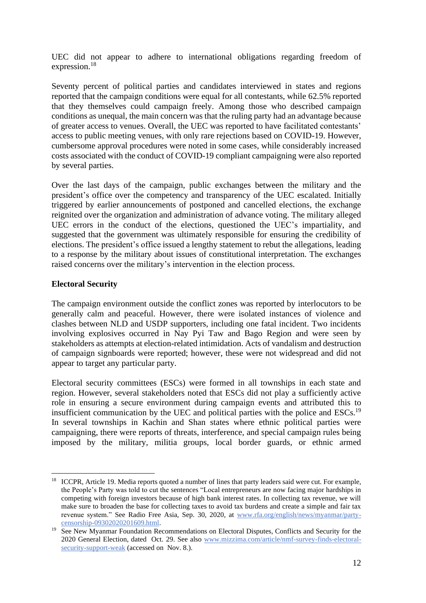UEC did not appear to adhere to international obligations regarding freedom of expression.<sup>18</sup>

Seventy percent of political parties and candidates interviewed in states and regions reported that the campaign conditions were equal for all contestants, while 62.5% reported that they themselves could campaign freely. Among those who described campaign conditions as unequal, the main concern was that the ruling party had an advantage because of greater access to venues. Overall, the UEC was reported to have facilitated contestants' access to public meeting venues, with only rare rejections based on COVID-19. However, cumbersome approval procedures were noted in some cases, while considerably increased costs associated with the conduct of COVID-19 compliant campaigning were also reported by several parties.

Over the last days of the campaign, public exchanges between the military and the president's office over the competency and transparency of the UEC escalated. Initially triggered by earlier announcements of postponed and cancelled elections, the exchange reignited over the organization and administration of advance voting. The military alleged UEC errors in the conduct of the elections, questioned the UEC's impartiality, and suggested that the government was ultimately responsible for ensuring the credibility of elections. The president's office issued a lengthy statement to rebut the allegations, leading to a response by the military about issues of constitutional interpretation. The exchanges raised concerns over the military's intervention in the election process.

### **Electoral Security**

The campaign environment outside the conflict zones was reported by interlocutors to be generally calm and peaceful. However, there were isolated instances of violence and clashes between NLD and USDP supporters, including one fatal incident. Two incidents involving explosives occurred in Nay Pyi Taw and Bago Region and were seen by stakeholders as attempts at election-related intimidation. Acts of vandalism and destruction of campaign signboards were reported; however, these were not widespread and did not appear to target any particular party.

Electoral security committees (ESCs) were formed in all townships in each state and region. However, several stakeholders noted that ESCs did not play a sufficiently active role in ensuring a secure environment during campaign events and attributed this to insufficient communication by the UEC and political parties with the police and ESCs.<sup>19</sup> In several townships in Kachin and Shan states where ethnic political parties were campaigning, there were reports of threats, interference, and special campaign rules being imposed by the military, militia groups, local border guards, or ethnic armed

<sup>&</sup>lt;sup>18</sup> ICCPR, Article 19. Media reports quoted a number of lines that party leaders said were cut. For example, the People's Party was told to cut the sentences "Local entrepreneurs are now facing major hardships in competing with foreign investors because of high bank interest rates. In collecting tax revenue, we will make sure to broaden the base for collecting taxes to avoid tax burdens and create a simple and fair tax revenue system." See Radio Free Asia, Sep. 30, 2020, at [www.rfa.org/english/news/myanmar/party](http://www.rfa.org/english/news/myanmar/party-censorship-09302020201609.html)[censorship-09302020201609.html.](http://www.rfa.org/english/news/myanmar/party-censorship-09302020201609.html)

<sup>&</sup>lt;sup>19</sup> See New Myanmar Foundation Recommendations on Electoral Disputes, Conflicts and Security for the 2020 General Election, dated Oct. 29. See also [www.mizzima.com/article/nmf-survey-finds-electoral](http://www.mizzima.com/article/nmf-survey-finds-electoral-security-support-weak)[security-support-weak](http://www.mizzima.com/article/nmf-survey-finds-electoral-security-support-weak) (accessed on Nov. 8.).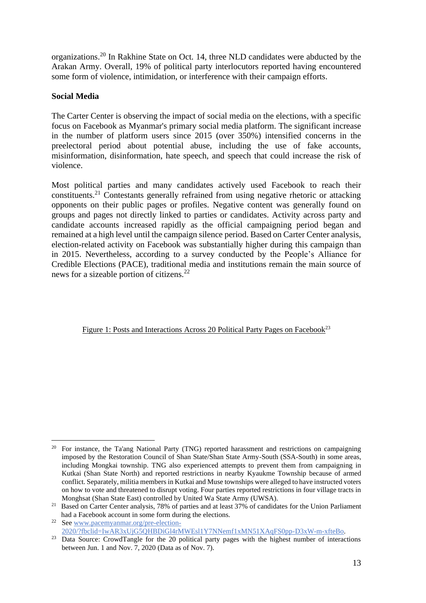organizations.<sup>20</sup> In Rakhine State on Oct. 14, three NLD candidates were abducted by the Arakan Army. Overall, 19% of political party interlocutors reported having encountered some form of violence, intimidation, or interference with their campaign efforts.

## **Social Media**

The Carter Center is observing the impact of social media on the elections, with a specific focus on Facebook as Myanmar's primary social media platform. The significant increase in the number of platform users since 2015 (over 350%) intensified concerns in the preelectoral period about potential abuse, including the use of fake accounts, misinformation, disinformation, hate speech, and speech that could increase the risk of violence.

Most political parties and many candidates actively used Facebook to reach their constituents. <sup>21</sup> Contestants generally refrained from using negative rhetoric or attacking opponents on their public pages or profiles. Negative content was generally found on groups and pages not directly linked to parties or candidates. Activity across party and candidate accounts increased rapidly as the official campaigning period began and remained at a high level until the campaign silence period. Based on Carter Center analysis, election-related activity on Facebook was substantially higher during this campaign than in 2015. Nevertheless, according to a survey conducted by the People's Alliance for Credible Elections (PACE), traditional media and institutions remain the main source of news for a sizeable portion of citizens.<sup>22</sup>

Figure 1: Posts and Interactions Across 20 Political Party Pages on Facebook<sup>23</sup>

<sup>&</sup>lt;sup>20</sup> For instance, the Ta'ang National Party (TNG) reported harassment and restrictions on campaigning imposed by the Restoration Council of Shan State/Shan State Army-South (SSA-South) in some areas, including Mongkai township. TNG also experienced attempts to prevent them from campaigning in Kutkai (Shan State North) and reported restrictions in nearby Kyaukme Township because of armed conflict. Separately, militia members in Kutkai and Muse townships were alleged to have instructed voters on how to vote and threatened to disrupt voting. Four parties reported restrictions in four village tracts in Monghsat (Shan State East) controlled by United Wa State Army (UWSA).

<sup>&</sup>lt;sup>21</sup> Based on Carter Center analysis, 78% of parties and at least 37% of candidates for the Union Parliament had a Facebook account in some form during the elections.

<sup>22</sup> See www.pacemyanmar.org/pre-election-2020/?fbclid=IwAR3xUjG5QHBDiGl4rMWEsl1Y7NNemf1xMN51XAqFS0pp-D3xW-m-xfteBo.

<sup>&</sup>lt;sup>23</sup> Data Source: CrowdTangle for the <sup>20</sup> political party pages with the highest number of interactions between Jun. 1 and Nov. 7, 2020 (Data as of Nov. 7).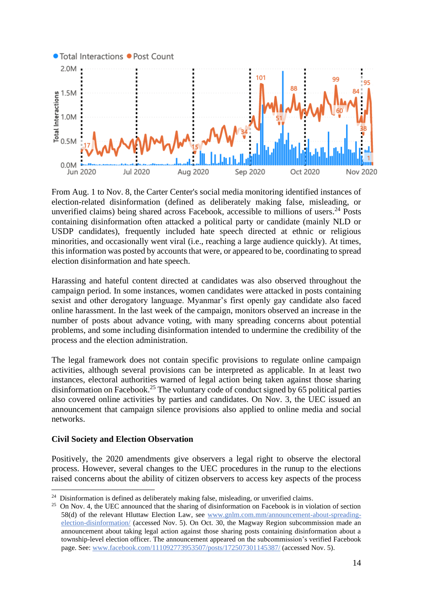

From Aug. 1 to Nov. 8, the Carter Center's social media monitoring identified instances of election-related disinformation (defined as deliberately making false, misleading, or unverified claims) being shared across Facebook, accessible to millions of users. <sup>24</sup> Posts containing disinformation often attacked a political party or candidate (mainly NLD or USDP candidates), frequently included hate speech directed at ethnic or religious minorities, and occasionally went viral (i.e., reaching a large audience quickly). At times, this information was posted by accounts that were, or appeared to be, coordinating to spread election disinformation and hate speech.

Harassing and hateful content directed at candidates was also observed throughout the campaign period. In some instances, women candidates were attacked in posts containing sexist and other derogatory language. Myanmar's first openly gay candidate also faced online harassment. In the last week of the campaign, monitors observed an increase in the number of posts about advance voting, with many spreading concerns about potential problems, and some including disinformation intended to undermine the credibility of the process and the election administration.

The legal framework does not contain specific provisions to regulate online campaign activities, although several provisions can be interpreted as applicable. In at least two instances, electoral authorities warned of legal action being taken against those sharing disinformation on Facebook.<sup>25</sup> The voluntary code of conduct signed by 65 political parties also covered online activities by parties and candidates. On Nov. 3, the UEC issued an announcement that campaign silence provisions also applied to online media and social networks.

### **Civil Society and Election Observation**

Positively, the 2020 amendments give observers a legal right to observe the electoral process. However, several changes to the UEC procedures in the runup to the elections raised concerns about the ability of citizen observers to access key aspects of the process

<sup>&</sup>lt;sup>24</sup> Disinformation is defined as deliberately making false, misleading, or unverified claims.

<sup>&</sup>lt;sup>25</sup> On Nov. 4, the UEC announced that the sharing of disinformation on Facebook is in violation of section 58(d) of the relevant Hluttaw Election Law, see [www.gnlm.com.mm/announcement-about-spreading](https://thecartercenter-my.sharepoint.com/personal/jonathan_stonestreet_cartercenter_org/Documents/OD%20JStonestreet/Myanmar/2020%20election/www.gnlm.com.mm/announcement-about-spreading-election-disinformation/)[election-disinformation/](https://thecartercenter-my.sharepoint.com/personal/jonathan_stonestreet_cartercenter_org/Documents/OD%20JStonestreet/Myanmar/2020%20election/www.gnlm.com.mm/announcement-about-spreading-election-disinformation/) (accessed Nov. 5). On Oct. 30, the Magway Region subcommission made an announcement about taking legal action against those sharing posts containing disinformation about a township-level election officer. The announcement appeared on the subcommission's verified Facebook page. See: www.facebook.com/111092773953507/posts/172507301145387/ (accessed Nov. 5).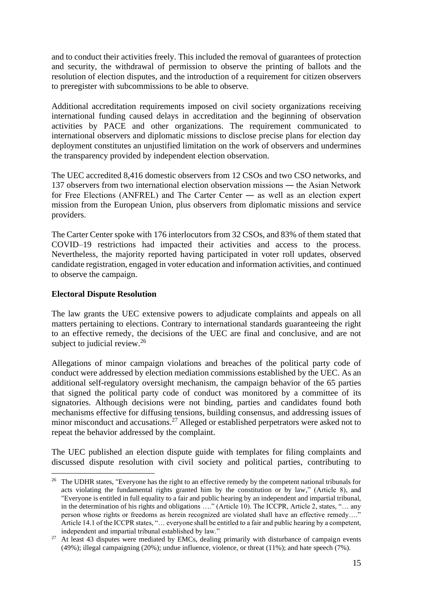and to conduct their activities freely. This included the removal of guarantees of protection and security, the withdrawal of permission to observe the printing of ballots and the resolution of election disputes, and the introduction of a requirement for citizen observers to preregister with subcommissions to be able to observe.

Additional accreditation requirements imposed on civil society organizations receiving international funding caused delays in accreditation and the beginning of observation activities by PACE and other organizations. The requirement communicated to international observers and diplomatic missions to disclose precise plans for election day deployment constitutes an unjustified limitation on the work of observers and undermines the transparency provided by independent election observation.

The UEC accredited 8,416 domestic observers from 12 CSOs and two CSO networks, and 137 observers from two international election observation missions ― the Asian Network for Free Elections (ANFREL) and The Carter Center ― as well as an election expert mission from the European Union, plus observers from diplomatic missions and service providers.

The Carter Center spoke with 176 interlocutors from 32 CSOs, and 83% of them stated that COVID–19 restrictions had impacted their activities and access to the process. Nevertheless, the majority reported having participated in voter roll updates, observed candidate registration, engaged in voter education and information activities, and continued to observe the campaign.

### **Electoral Dispute Resolution**

The law grants the UEC extensive powers to adjudicate complaints and appeals on all matters pertaining to elections. Contrary to international standards guaranteeing the right to an effective remedy, the decisions of the UEC are final and conclusive, and are not subject to judicial review.<sup>26</sup>

Allegations of minor campaign violations and breaches of the political party code of conduct were addressed by election mediation commissions established by the UEC. As an additional self-regulatory oversight mechanism, the campaign behavior of the 65 parties that signed the political party code of conduct was monitored by a committee of its signatories. Although decisions were not binding, parties and candidates found both mechanisms effective for diffusing tensions, building consensus, and addressing issues of minor misconduct and accusations.<sup>27</sup> Alleged or established perpetrators were asked not to repeat the behavior addressed by the complaint.

The UEC published an election dispute guide with templates for filing complaints and discussed dispute resolution with civil society and political parties, contributing to

<sup>&</sup>lt;sup>26</sup> The UDHR states, "Everyone has the right to an effective remedy by the competent national tribunals for acts violating the fundamental rights granted him by the constitution or by law," (Article 8), and "Everyone is entitled in full equality to a fair and public hearing by an independent and impartial tribunal, in the determination of his rights and obligations …." (Article 10). The ICCPR, Article 2, states, "… any person whose rights or freedoms as herein recognized are violated shall have an effective remedy.... Article 14.1 of the ICCPR states, "… everyone shall be entitled to a fair and public hearing by a competent, independent and impartial tribunal established by law."

<sup>&</sup>lt;sup>27</sup> At least 43 disputes were mediated by EMCs, dealing primarily with disturbance of campaign events (49%); illegal campaigning (20%); undue influence, violence, or threat (11%); and hate speech (7%).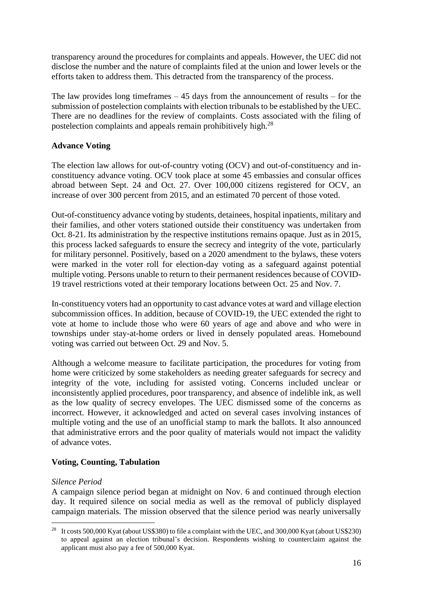transparency around the procedures for complaints and appeals. However, the UEC did not disclose the number and the nature of complaints filed at the union and lower levels or the efforts taken to address them. This detracted from the transparency of the process.

The law provides long timeframes  $-45$  days from the announcement of results – for the submission of postelection complaints with election tribunals to be established by the UEC. There are no deadlines for the review of complaints. Costs associated with the filing of postelection complaints and appeals remain prohibitively high.<sup>28</sup>

# **Advance Voting**

The election law allows for out-of-country voting (OCV) and out-of-constituency and inconstituency advance voting. OCV took place at some 45 embassies and consular offices abroad between Sept. 24 and Oct. 27. Over 100,000 citizens registered for OCV, an increase of over 300 percent from 2015, and an estimated 70 percent of those voted.

Out-of-constituency advance voting by students, detainees, hospital inpatients, military and their families, and other voters stationed outside their constituency was undertaken from Oct. 8-21. Its administration by the respective institutions remains opaque. Just as in 2015, this process lacked safeguards to ensure the secrecy and integrity of the vote, particularly for military personnel. Positively, based on a 2020 amendment to the bylaws, these voters were marked in the voter roll for election-day voting as a safeguard against potential multiple voting. Persons unable to return to their permanent residences because of COVID-19 travel restrictions voted at their temporary locations between Oct. 25 and Nov. 7.

In-constituency voters had an opportunity to cast advance votes at ward and village election subcommission offices. In addition, because of COVID-19, the UEC extended the right to vote at home to include those who were 60 years of age and above and who were in townships under stay-at-home orders or lived in densely populated areas. Homebound voting was carried out between Oct. 29 and Nov. 5.

Although a welcome measure to facilitate participation, the procedures for voting from home were criticized by some stakeholders as needing greater safeguards for secrecy and integrity of the vote, including for assisted voting. Concerns included unclear or inconsistently applied procedures, poor transparency, and absence of indelible ink, as well as the low quality of secrecy envelopes. The UEC dismissed some of the concerns as incorrect. However, it acknowledged and acted on several cases involving instances of multiple voting and the use of an unofficial stamp to mark the ballots. It also announced that administrative errors and the poor quality of materials would not impact the validity of advance votes.

## **Voting, Counting, Tabulation**

## *Silence Period*

A campaign silence period began at midnight on Nov. 6 and continued through election day. It required silence on social media as well as the removal of publicly displayed campaign materials. The mission observed that the silence period was nearly universally

<sup>&</sup>lt;sup>28</sup> It costs 500,000 Kyat (about US\$380) to file a complaint with the UEC, and 300,000 Kyat (about US\$230) to appeal against an election tribunal's decision. Respondents wishing to counterclaim against the applicant must also pay a fee of 500,000 Kyat.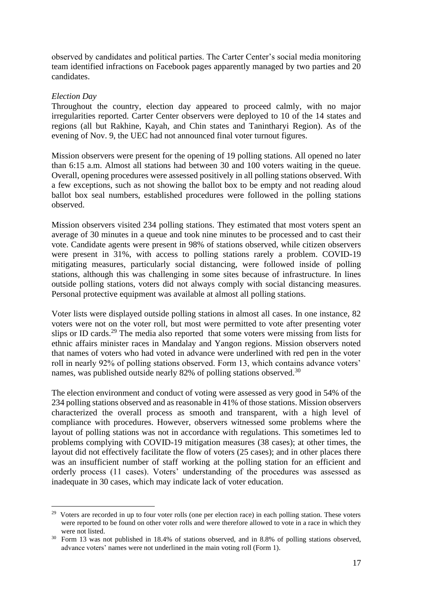observed by candidates and political parties. The Carter Center's social media monitoring team identified infractions on Facebook pages apparently managed by two parties and 20 candidates.

#### *Election Day*

Throughout the country, election day appeared to proceed calmly, with no major irregularities reported. Carter Center observers were deployed to 10 of the 14 states and regions (all but Rakhine, Kayah, and Chin states and Tanintharyi Region). As of the evening of Nov. 9, the UEC had not announced final voter turnout figures.

Mission observers were present for the opening of 19 polling stations. All opened no later than 6:15 a.m. Almost all stations had between 30 and 100 voters waiting in the queue. Overall, opening procedures were assessed positively in all polling stations observed. With a few exceptions, such as not showing the ballot box to be empty and not reading aloud ballot box seal numbers, established procedures were followed in the polling stations observed.

Mission observers visited 234 polling stations. They estimated that most voters spent an average of 30 minutes in a queue and took nine minutes to be processed and to cast their vote. Candidate agents were present in 98% of stations observed, while citizen observers were present in 31%, with access to polling stations rarely a problem. COVID-19 mitigating measures, particularly social distancing, were followed inside of polling stations, although this was challenging in some sites because of infrastructure. In lines outside polling stations, voters did not always comply with social distancing measures. Personal protective equipment was available at almost all polling stations.

Voter lists were displayed outside polling stations in almost all cases. In one instance, 82 voters were not on the voter roll, but most were permitted to vote after presenting voter slips or ID cards.<sup>29</sup> The media also reported that some voters were missing from lists for ethnic affairs minister races in Mandalay and Yangon regions. Mission observers noted that names of voters who had voted in advance were underlined with red pen in the voter roll in nearly 92% of polling stations observed. Form 13, which contains advance voters' names, was published outside nearly 82% of polling stations observed.<sup>30</sup>

The election environment and conduct of voting were assessed as very good in 54% of the 234 polling stations observed and as reasonable in 41% of those stations. Mission observers characterized the overall process as smooth and transparent, with a high level of compliance with procedures. However, observers witnessed some problems where the layout of polling stations was not in accordance with regulations. This sometimes led to problems complying with COVID-19 mitigation measures (38 cases); at other times, the layout did not effectively facilitate the flow of voters (25 cases); and in other places there was an insufficient number of staff working at the polling station for an efficient and orderly process (11 cases). Voters' understanding of the procedures was assessed as inadequate in 30 cases, which may indicate lack of voter education.

<sup>&</sup>lt;sup>29</sup> Voters are recorded in up to four voter rolls (one per election race) in each polling station. These voters were reported to be found on other voter rolls and were therefore allowed to vote in a race in which they were not listed.

<sup>30</sup> Form 13 was not published in 18.4% of stations observed, and in 8.8% of polling stations observed, advance voters' names were not underlined in the main voting roll (Form 1).